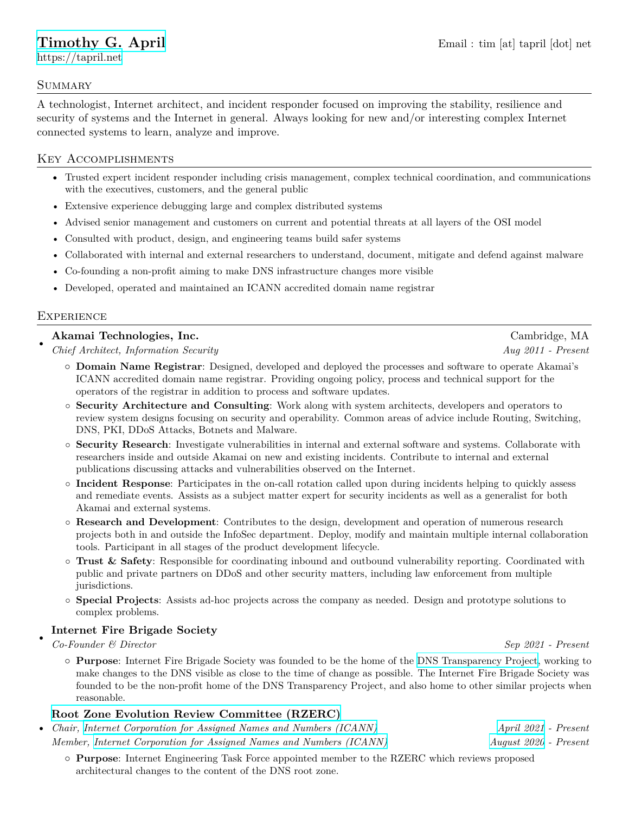[https://tapril.net](https://tapril.net/)

#### **SUMMARY**

A technologist, Internet architect, and incident responder focused on improving the stability, resilience and security of systems and the Internet in general. Always looking for new and/or interesting complex Internet connected systems to learn, analyze and improve.

# Key Accomplishments

- Trusted expert incident responder including crisis management, complex technical coordination, and communications with the executives, customers, and the general public
- Extensive experience debugging large and complex distributed systems
- Advised senior management and customers on current and potential threats at all layers of the OSI model
- Consulted with product, design, and engineering teams build safer systems
- Collaborated with internal and external researchers to understand, document, mitigate and defend against malware
- Co-founding a non-profit aiming to make DNS infrastructure changes more visible
- Developed, operated and maintained an ICANN accredited domain name registrar

#### **EXPERIENCE**

## **Akamai Technologies, Inc.** Cambridge, MA

• *Chief Architect, Information Security Aug 2011 - Present*

- *◦* **Domain Name Registrar**: Designed, developed and deployed the processes and software to operate Akamai's ICANN accredited domain name registrar. Providing ongoing policy, process and technical support for the operators of the registrar in addition to process and software updates.
- *◦* **Security Architecture and Consulting**: Work along with system architects, developers and operators to review system designs focusing on security and operability. Common areas of advice include Routing, Switching, DNS, PKI, DDoS Attacks, Botnets and Malware.
- *◦* **Security Research**: Investigate vulnerabilities in internal and external software and systems. Collaborate with researchers inside and outside Akamai on new and existing incidents. Contribute to internal and external publications discussing attacks and vulnerabilities observed on the Internet.
- *◦* **Incident Response**: Participates in the on-call rotation called upon during incidents helping to quickly assess and remediate events. Assists as a subject matter expert for security incidents as well as a generalist for both Akamai and external systems.
- *◦* **Research and Development**: Contributes to the design, development and operation of numerous research projects both in and outside the InfoSec department. Deploy, modify and maintain multiple internal collaboration tools. Participant in all stages of the product development lifecycle.
- *◦* **Trust & Safety**: Responsible for coordinating inbound and outbound vulnerability reporting. Coordinated with public and private partners on DDoS and other security matters, including law enforcement from multiple jurisdictions.
- *◦* **Special Projects**: Assists ad-hoc projects across the company as needed. Design and prototype solutions to complex problems.

#### • **Internet Fire Brigade Society**

*Co-Founder & Director Sep 2021 - Present*

*◦* **Purpose**: Internet Fire Brigade Society was founded to be the home of the [DNS Transparency Project,](https://dnstransparency.org/) working to make changes to the DNS visible as close to the time of change as possible. The Internet Fire Brigade Society was founded to be the non-profit home of the DNS Transparency Project, and also home to other similar projects when reasonable.

## **[Root Zone Evolution Review Committee \(RZERC\)](https://www.icann.org/en/rzerc)**

- *Chair, [Internet Corporation for Assigned Names and Numbers \(ICANN\)](https://www.icann.org/) [April 2021](https://mm.icann.org/pipermail/rzerc/2021-April/000547.html) Present Member, [Internet Corporation for Assigned Names and Numbers \(ICANN\)](https://www.icann.org/) [August 2020](https://www.icann.org/uploads/ckeditor/ietf-2020-rzerc-appointment-en.pdf) - Present*
	- *◦* **Purpose**: Internet Engineering Task Force appointed member to the RZERC which reviews proposed architectural changes to the content of the DNS root zone.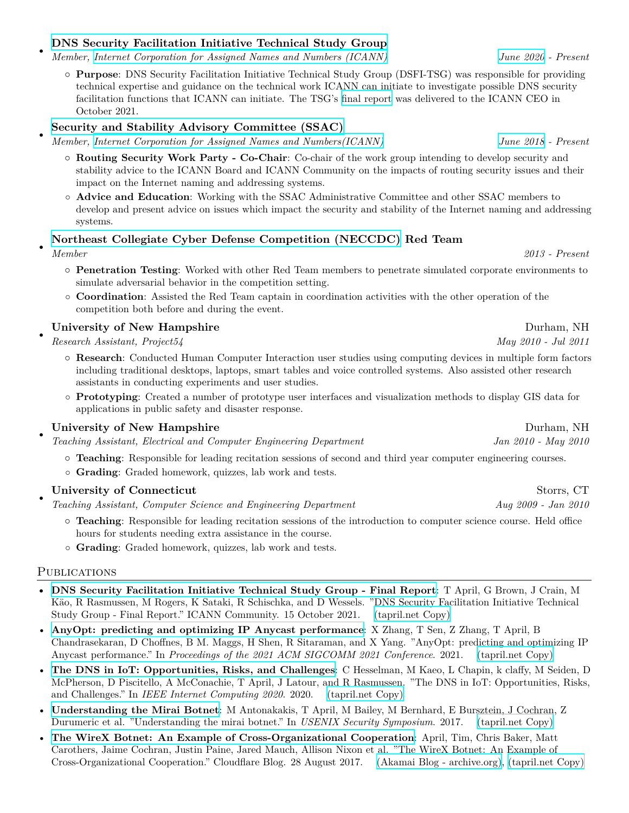#### **[DNS Security Facilitation Initiative Technical Study Group](https://community.icann.org/pages/viewpage.action?pageId=132941525)**

*Member, [Internet Corporation for Assigned Names and Numbers \(ICANN\)](https://www.icann.org/) [June 2020](https://community.icann.org/display/DSFI/2020-06-17+Meeting) - Present*

*◦* **Purpose**: DNS Security Facilitation Initiative Technical Study Group (DSFI-TSG) was responsible for providing technical expertise and guidance on the technical work ICANN can initiate to investigate possible DNS security facilitation functions that ICANN can initiate. The TSG's [final report](https://community.icann.org/display/DSFI/DSFI+TSG+Final+Report?preview=/176623416/176623417/DSFI-TSG-Final-Report.pdf) was delivered to the ICANN CEO in October 2021.

#### **[Security and Stability Advisory Committee \(SSAC\)](https://www.icann.org/groups/ssac)**

• *Member, [Internet Corporation for Assigned Names and Numbers\(ICANN\)](https://www.icann.org/) [June 2018](https://features.icann.org/appointment-new-member-ssac-0) - Present*

- *◦* **Routing Security Work Party Co-Chair**: Co-chair of the work group intending to develop security and stability advice to the ICANN Board and ICANN Community on the impacts of routing security issues and their impact on the Internet naming and addressing systems.
- *◦* **Advice and Education**: Working with the SSAC Administrative Committee and other SSAC members to develop and present advice on issues which impact the security and stability of the Internet naming and addressing systems.

## **[Northeast Collegiate Cyber Defense Competition \(NECCDC\)](https://neccdl.org/neccdc/) Red Team**

• *Member 2013 - Present*

•

- *◦* **Penetration Testing**: Worked with other Red Team members to penetrate simulated corporate environments to simulate adversarial behavior in the competition setting.
- *◦* **Coordination**: Assisted the Red Team captain in coordination activities with the other operation of the competition both before and during the event.

## **University of New Hampshire** Durham, NH

• *Research Assistant, Project54 May 2010 - Jul 2011*

- *◦* **Research**: Conducted Human Computer Interaction user studies using computing devices in multiple form factors including traditional desktops, laptops, smart tables and voice controlled systems. Also assisted other research assistants in conducting experiments and user studies.
- *◦* **Prototyping**: Created a number of prototype user interfaces and visualization methods to display GIS data for applications in public safety and disaster response.

## **University of New Hampshire** Durham, NH

• *Teaching Assistant, Electrical and Computer Engineering Department Jan 2010 - May 2010*

- *◦* **Teaching**: Responsible for leading recitation sessions of second and third year computer engineering courses.
- *◦* **Grading**: Graded homework, quizzes, lab work and tests.

#### • **University of Connecticut** Storrs, CT

*Teaching Assistant, Computer Science and Engineering Department Aug 2009 - Jan 2010*

- *◦* **Teaching**: Responsible for leading recitation sessions of the introduction to computer science course. Held office hours for students needing extra assistance in the course.
- *◦* **Grading**: Graded homework, quizzes, lab work and tests.

#### **PUBLICATIONS**

- **[DNS Security Facilitation Initiative Technical Study Group Final Report](https://community.icann.org/display/DSFI/DSFI+TSG+Final+Report?preview=/176623416/176623417/DSFI-TSG-Final-Report.pdf)**: T April, G Brown, J Crain, M Käo, R Rasmussen, M Rogers, K Sataki, R Schischka, and D Wessels. "DNS Security Facilitation Initiative Technical Study Group - Final Report." ICANN Community. 15 October 2021. [\(tapril.net Copy\)](https://tapril.net/docs/DSFI-TSG-Final-Report.pdf)
- **[AnyOpt: predicting and optimizing IP Anycast performance](https://dl.acm.org/doi/abs/10.1145/3452296.3472935)**: X Zhang, T Sen, Z Zhang, T April, B Chandrasekaran, D Choffnes, B M. Maggs, H Shen, R Sitaraman, and X Yang. "AnyOpt: predicting and optimizing IP Anycast performance." In *Proceedings of the 2021 ACM SIGCOMM 2021 Conference*. 2021. [\(tapril.net Copy\)](https://tapril.net/docs/zhang-sigcomm2021.pdf)
- **[The DNS in IoT: Opportunities, Risks, and Challenges](https://www.hesselman.net/publicaties/The-DNS-in-IoT-Authors-Version-2020-SIDN-Labs.pdf)**: C Hesselman, M Kaeo, L Chapin, k claffy, M Seiden, D McPherson, D Piscitello, A McConachie, T April, J Latour, and R Rasmussen. "The DNS in IoT: Opportunities, Risks, and Challenges." In *IEEE Internet Computing 2020*. 2020. [\(tapril.net Copy\)](https://tapril.net/docs/dns-in-iot.pdf)
- **[Understanding the Mirai Botnet](https://www.usenix.org/system/files/conference/usenixsecurity17/sec17-antonakakis.pdf)**: M Antonakakis, T April, M Bailey, M Bernhard, E Bursztein, J Cochran, Z Durumeric et al. "Understanding the mirai botnet." In *USENIX Security Symposium*. 2017. [\(tapril.net Copy\)](https://tapril.net/docs/sec17-antonakakis.pdf)
- **[The WireX Botnet: An Example of Cross-Organizational Cooperation](https://blog.cloudflare.com/the-wirex-botnet/)**: April, Tim, Chris Baker, Matt Carothers, Jaime Cochran, Justin Paine, Jared Mauch, Allison Nixon et al. "The WireX Botnet: An Example of Cross-Organizational Cooperation." Cloudflare Blog. 28 August 2017. [\(Akamai Blog - archive.org\),](https://web.archive.org/web/20201124184118/https://blogs.akamai.com/2017/08/the-wirex-botnet-an-example-of-cross-organizational-cooperation.html) [\(tapril.net Copy\)](https://tapril.net/docs/wirex-report.pdf)